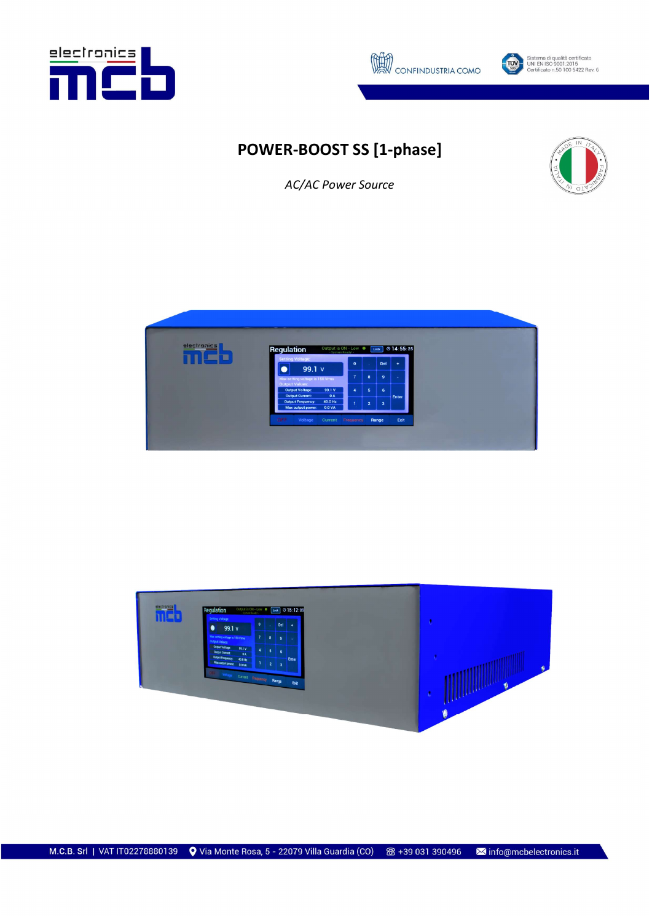





# POWER-BOOST SS [1-phase]



AC/AC Power Source



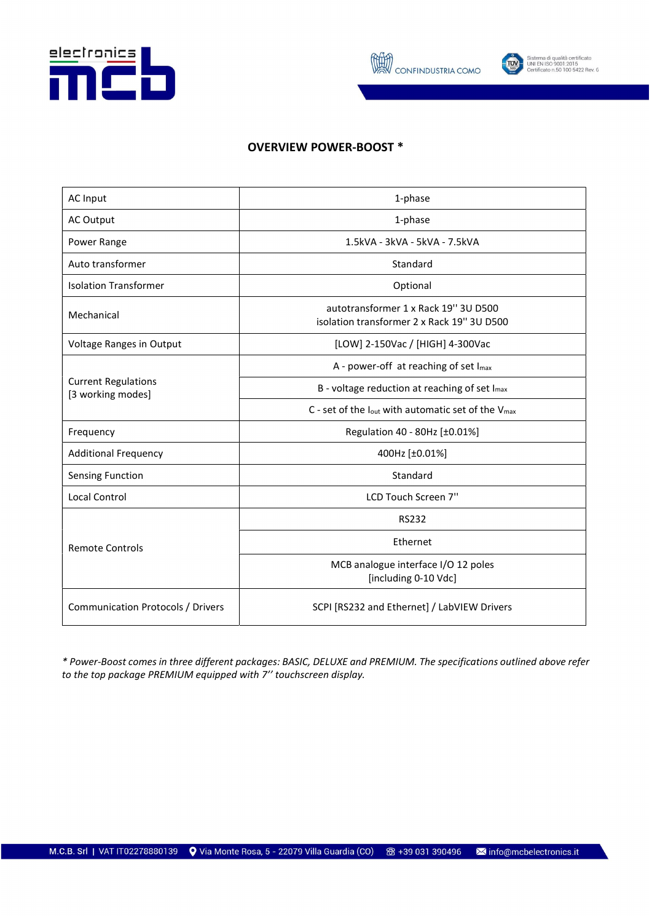



Sistema di qualità certificato<br>UNI EN ISO 9001:2015<br>Certificato n.50 100 5422 Rev. 6

### OVERVIEW POWER-BOOST \*

| <b>AC Input</b>                                 | 1-phase                                                                            |  |  |
|-------------------------------------------------|------------------------------------------------------------------------------------|--|--|
| <b>AC Output</b>                                | 1-phase                                                                            |  |  |
| Power Range                                     | 1.5kVA - 3kVA - 5kVA - 7.5kVA                                                      |  |  |
| Auto transformer                                | Standard                                                                           |  |  |
| <b>Isolation Transformer</b>                    | Optional                                                                           |  |  |
| Mechanical                                      | autotransformer 1 x Rack 19" 3U D500<br>isolation transformer 2 x Rack 19" 3U D500 |  |  |
| Voltage Ranges in Output                        | [LOW] 2-150Vac / [HIGH] 4-300Vac                                                   |  |  |
|                                                 | A - power-off at reaching of set Imax                                              |  |  |
| <b>Current Regulations</b><br>[3 working modes] | B - voltage reduction at reaching of set Imax                                      |  |  |
|                                                 | C - set of the $I_{out}$ with automatic set of the $V_{max}$                       |  |  |
| Frequency                                       | Regulation 40 - 80Hz [±0.01%]                                                      |  |  |
| <b>Additional Frequency</b>                     | 400Hz [±0.01%]                                                                     |  |  |
| <b>Sensing Function</b>                         | Standard                                                                           |  |  |
| <b>Local Control</b>                            | LCD Touch Screen 7"                                                                |  |  |
| <b>Remote Controls</b>                          | <b>RS232</b>                                                                       |  |  |
|                                                 | Ethernet                                                                           |  |  |
|                                                 | MCB analogue interface I/O 12 poles<br>[including 0-10 Vdc]                        |  |  |
| <b>Communication Protocols / Drivers</b>        | SCPI [RS232 and Ethernet] / LabVIEW Drivers                                        |  |  |

\* Power-Boost comes in three different packages: BASIC, DELUXE and PREMIUM. The specifications outlined above refer to the top package PREMIUM equipped with 7'' touchscreen display.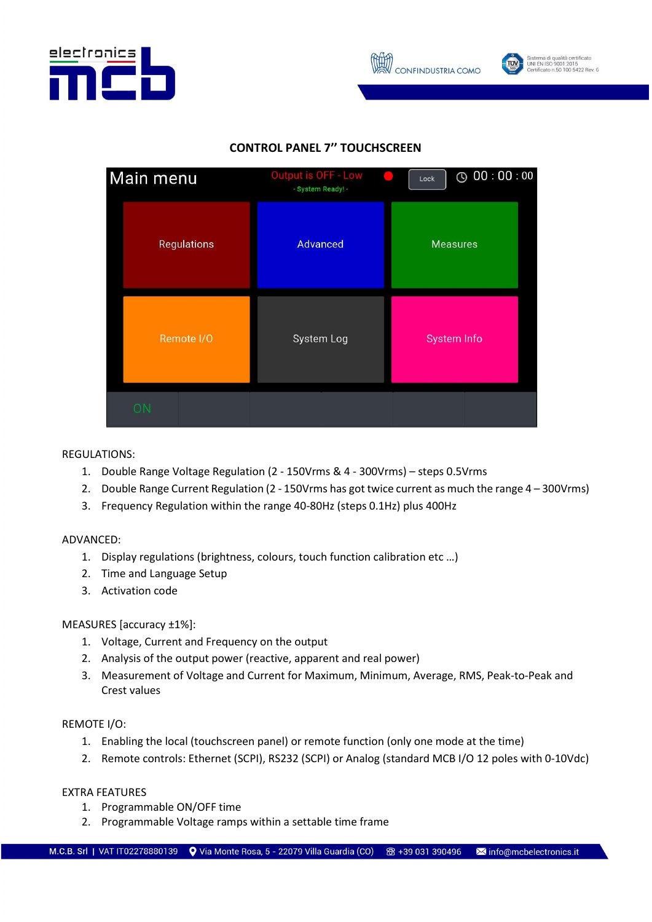





## CONTROL PANEL 7'' TOUCHSCREEN



#### REGULATIONS:

- 1. Double Range Voltage Regulation (2 150Vrms & 4 300Vrms) steps 0.5Vrms
- 2. Double Range Current Regulation (2 150Vrms has got twice current as much the range 4 300Vrms)
- 3. Frequency Regulation within the range 40-80Hz (steps 0.1Hz) plus 400Hz

#### ADVANCED:

- 1. Display regulations (brightness, colours, touch function calibration etc …)
- 2. Time and Language Setup
- 3. Activation code

#### MEASURES [accuracy ±1%]:

- 1. Voltage, Current and Frequency on the output
- 2. Analysis of the output power (reactive, apparent and real power)
- 3. Measurement of Voltage and Current for Maximum, Minimum, Average, RMS, Peak-to-Peak and Crest values

#### REMOTE I/O:

- 1. Enabling the local (touchscreen panel) or remote function (only one mode at the time)
- 2. Remote controls: Ethernet (SCPI), RS232 (SCPI) or Analog (standard MCB I/O 12 poles with 0-10Vdc)

#### EXTRA FEATURES

- 1. Programmable ON/OFF time
- 2. Programmable Voltage ramps within a settable time frame